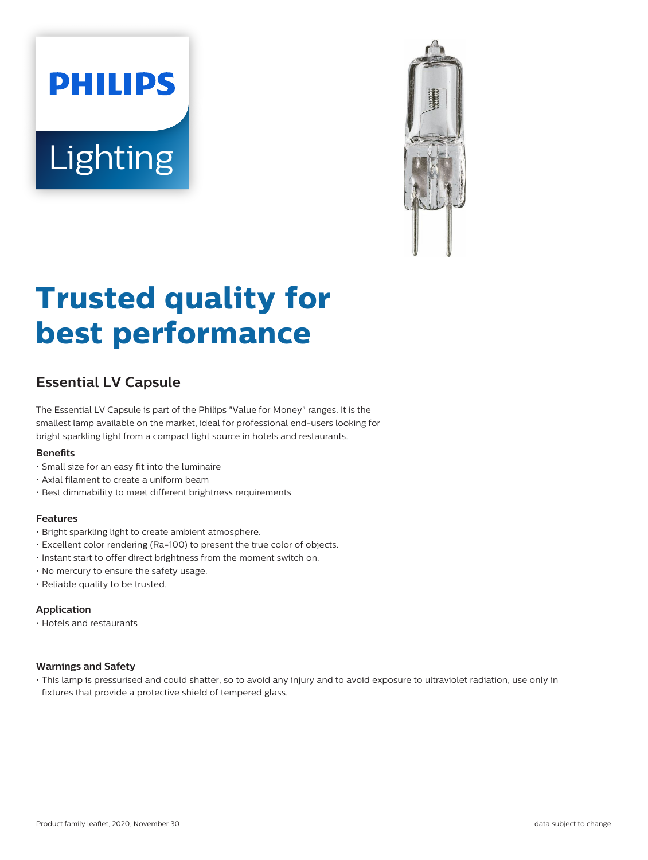# **PHILIPS** Lighting



# **Trusted quality for best performance**

## **Essential LV Capsule**

The Essential LV Capsule is part of the Philips "Value for Money" ranges. It is the smallest lamp available on the market, ideal for professional end-users looking for bright sparkling light from a compact light source in hotels and restaurants.

#### **Benets**

- Small size for an easy fit into the luminaire
- Axial filament to create a uniform beam
- Best dimmability to meet different brightness requirements

#### **Features**

- Bright sparkling light to create ambient atmosphere.
- Excellent color rendering (Ra=100) to present the true color of objects.
- Instant start to offer direct brightness from the moment switch on.
- No mercury to ensure the safety usage.
- Reliable quality to be trusted.

#### **Application**

• Hotels and restaurants

#### **Warnings and Safety**

• This lamp is pressurised and could shatter, so to avoid any injury and to avoid exposure to ultraviolet radiation, use only in fixtures that provide a protective shield of tempered glass.